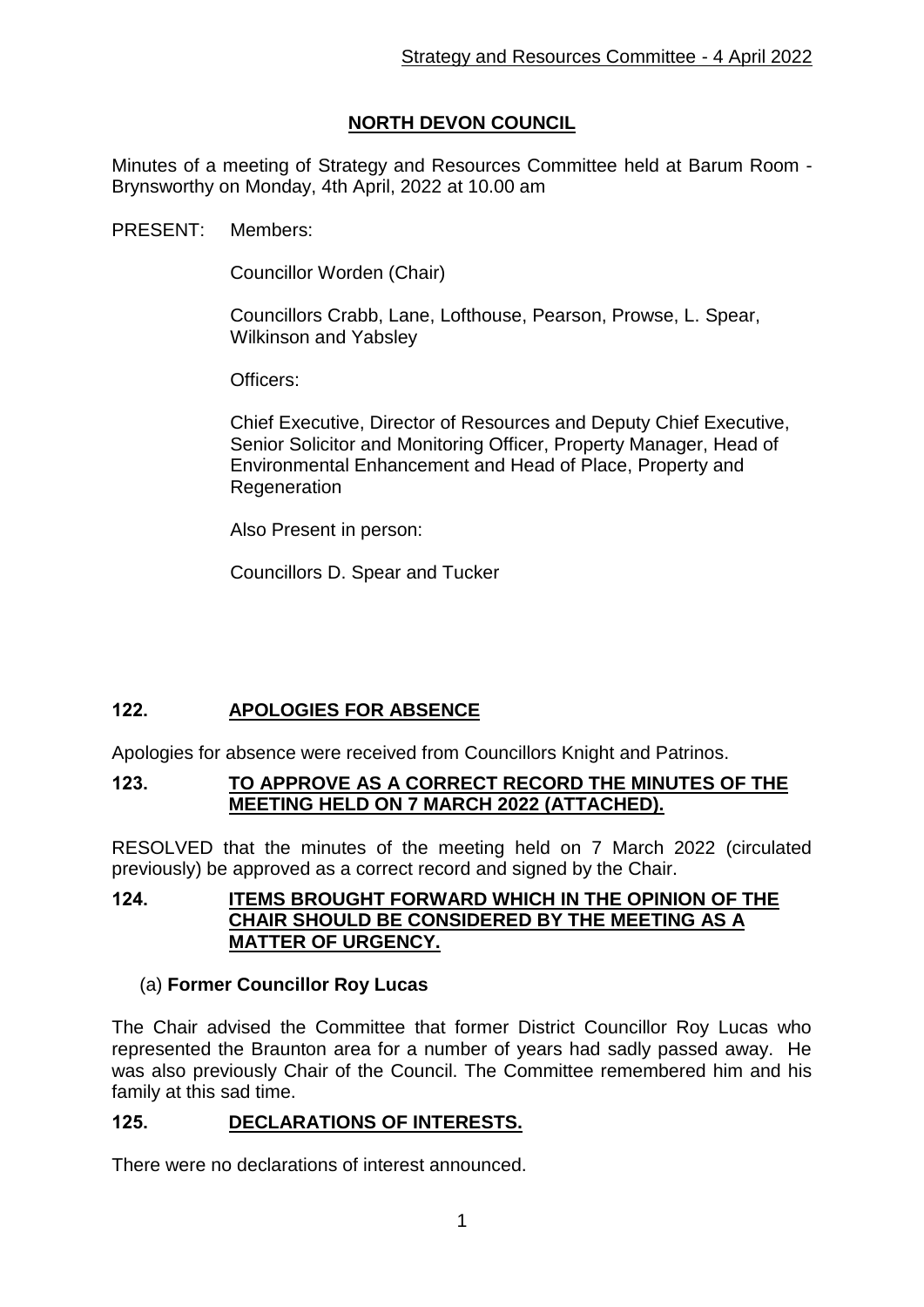# **NORTH DEVON COUNCIL**

Minutes of a meeting of Strategy and Resources Committee held at Barum Room - Brynsworthy on Monday, 4th April, 2022 at 10.00 am

PRESENT: Members:

Councillor Worden (Chair)

Councillors Crabb, Lane, Lofthouse, Pearson, Prowse, L. Spear, Wilkinson and Yabsley

Officers:

Chief Executive, Director of Resources and Deputy Chief Executive, Senior Solicitor and Monitoring Officer, Property Manager, Head of Environmental Enhancement and Head of Place, Property and Regeneration

Also Present in person:

Councillors D. Spear and Tucker

# **122. APOLOGIES FOR ABSENCE**

Apologies for absence were received from Councillors Knight and Patrinos.

### **123. TO APPROVE AS A CORRECT RECORD THE MINUTES OF THE MEETING HELD ON 7 MARCH 2022 (ATTACHED).**

RESOLVED that the minutes of the meeting held on 7 March 2022 (circulated previously) be approved as a correct record and signed by the Chair.

### **124. ITEMS BROUGHT FORWARD WHICH IN THE OPINION OF THE CHAIR SHOULD BE CONSIDERED BY THE MEETING AS A MATTER OF URGENCY.**

## (a) **Former Councillor Roy Lucas**

The Chair advised the Committee that former District Councillor Roy Lucas who represented the Braunton area for a number of years had sadly passed away. He was also previously Chair of the Council. The Committee remembered him and his family at this sad time.

## **125. DECLARATIONS OF INTERESTS.**

There were no declarations of interest announced.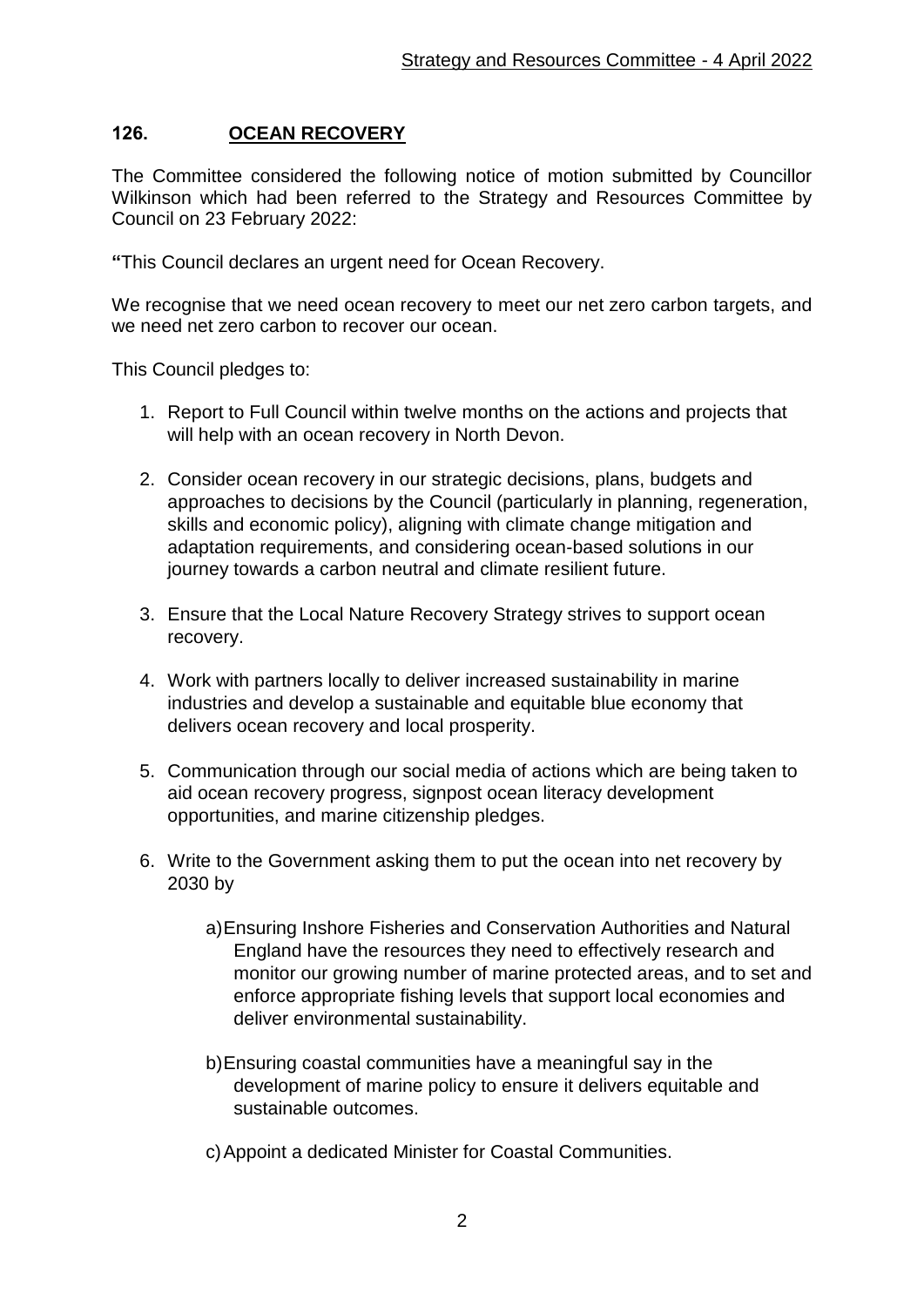## **126. OCEAN RECOVERY**

The Committee considered the following notice of motion submitted by Councillor Wilkinson which had been referred to the Strategy and Resources Committee by Council on 23 February 2022:

**"**This Council declares an urgent need for Ocean Recovery.

We recognise that we need ocean recovery to meet our net zero carbon targets, and we need net zero carbon to recover our ocean.

This Council pledges to:

- 1. Report to Full Council within twelve months on the actions and projects that will help with an ocean recovery in North Devon.
- 2. Consider ocean recovery in our strategic decisions, plans, budgets and approaches to decisions by the Council (particularly in planning, regeneration, skills and economic policy), aligning with climate change mitigation and adaptation requirements, and considering ocean-based solutions in our journey towards a carbon neutral and climate resilient future.
- 3. Ensure that the Local Nature Recovery Strategy strives to support ocean recovery.
- 4. Work with partners locally to deliver increased sustainability in marine industries and develop a sustainable and equitable blue economy that delivers ocean recovery and local prosperity.
- 5. Communication through our social media of actions which are being taken to aid ocean recovery progress, signpost ocean literacy development opportunities, and marine citizenship pledges.
- 6. Write to the Government asking them to put the ocean into net recovery by 2030 by
	- a)Ensuring Inshore Fisheries and Conservation Authorities and Natural England have the resources they need to effectively research and monitor our growing number of marine protected areas, and to set and enforce appropriate fishing levels that support local economies and deliver environmental sustainability.
	- b)Ensuring coastal communities have a meaningful say in the development of marine policy to ensure it delivers equitable and sustainable outcomes.
	- c)Appoint a dedicated Minister for Coastal Communities.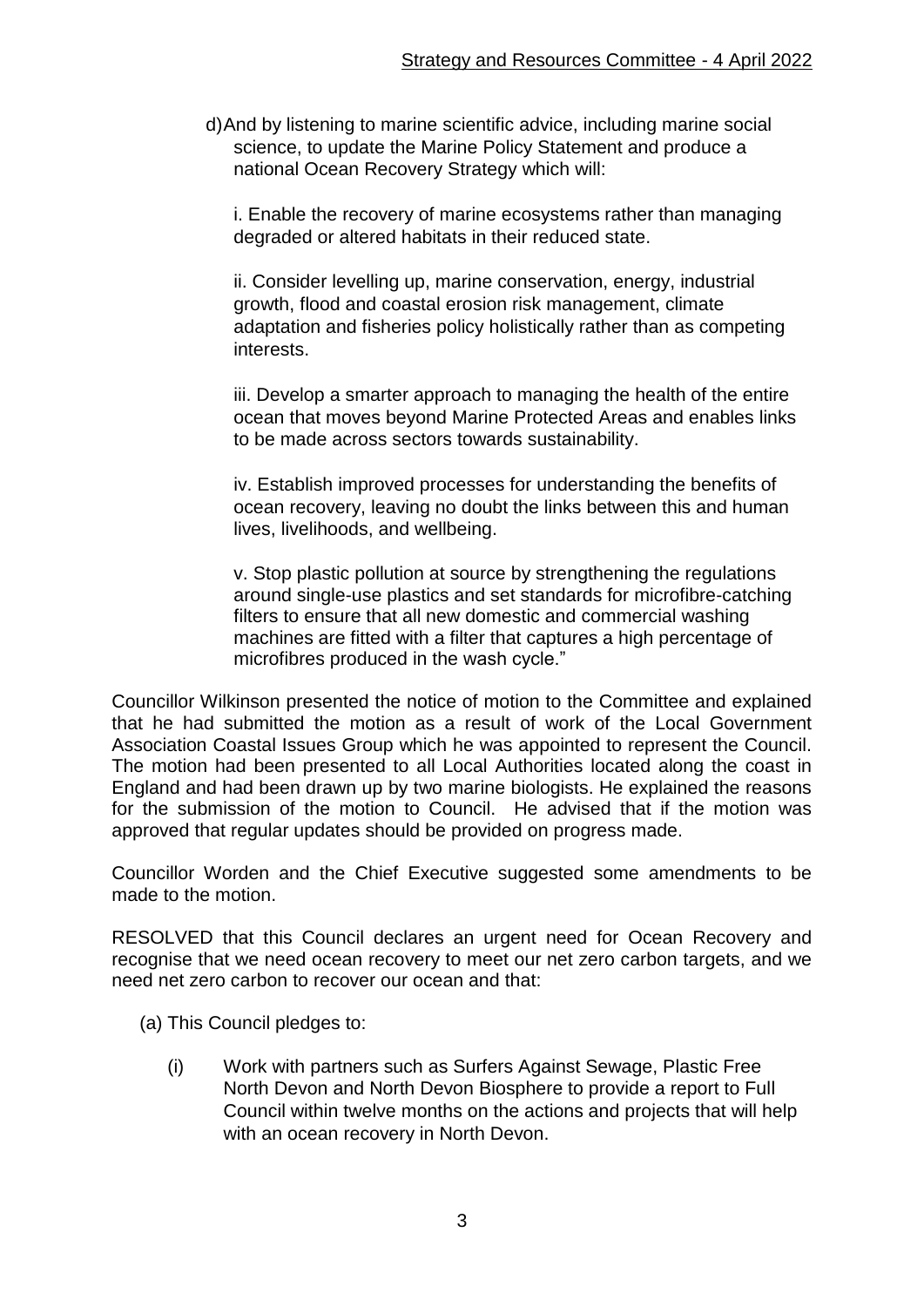d)And by listening to marine scientific advice, including marine social science, to update the Marine Policy Statement and produce a national Ocean Recovery Strategy which will:

i. Enable the recovery of marine ecosystems rather than managing degraded or altered habitats in their reduced state.

ii. Consider levelling up, marine conservation, energy, industrial growth, flood and coastal erosion risk management, climate adaptation and fisheries policy holistically rather than as competing interests.

iii. Develop a smarter approach to managing the health of the entire ocean that moves beyond Marine Protected Areas and enables links to be made across sectors towards sustainability.

iv. Establish improved processes for understanding the benefits of ocean recovery, leaving no doubt the links between this and human lives, livelihoods, and wellbeing.

v. Stop plastic pollution at source by strengthening the regulations around single-use plastics and set standards for microfibre-catching filters to ensure that all new domestic and commercial washing machines are fitted with a filter that captures a high percentage of microfibres produced in the wash cycle."

Councillor Wilkinson presented the notice of motion to the Committee and explained that he had submitted the motion as a result of work of the Local Government Association Coastal Issues Group which he was appointed to represent the Council. The motion had been presented to all Local Authorities located along the coast in England and had been drawn up by two marine biologists. He explained the reasons for the submission of the motion to Council. He advised that if the motion was approved that regular updates should be provided on progress made.

Councillor Worden and the Chief Executive suggested some amendments to be made to the motion.

RESOLVED that this Council declares an urgent need for Ocean Recovery and recognise that we need ocean recovery to meet our net zero carbon targets, and we need net zero carbon to recover our ocean and that:

- (a) This Council pledges to:
	- (i) Work with partners such as Surfers Against Sewage, Plastic Free North Devon and North Devon Biosphere to provide a report to Full Council within twelve months on the actions and projects that will help with an ocean recovery in North Devon.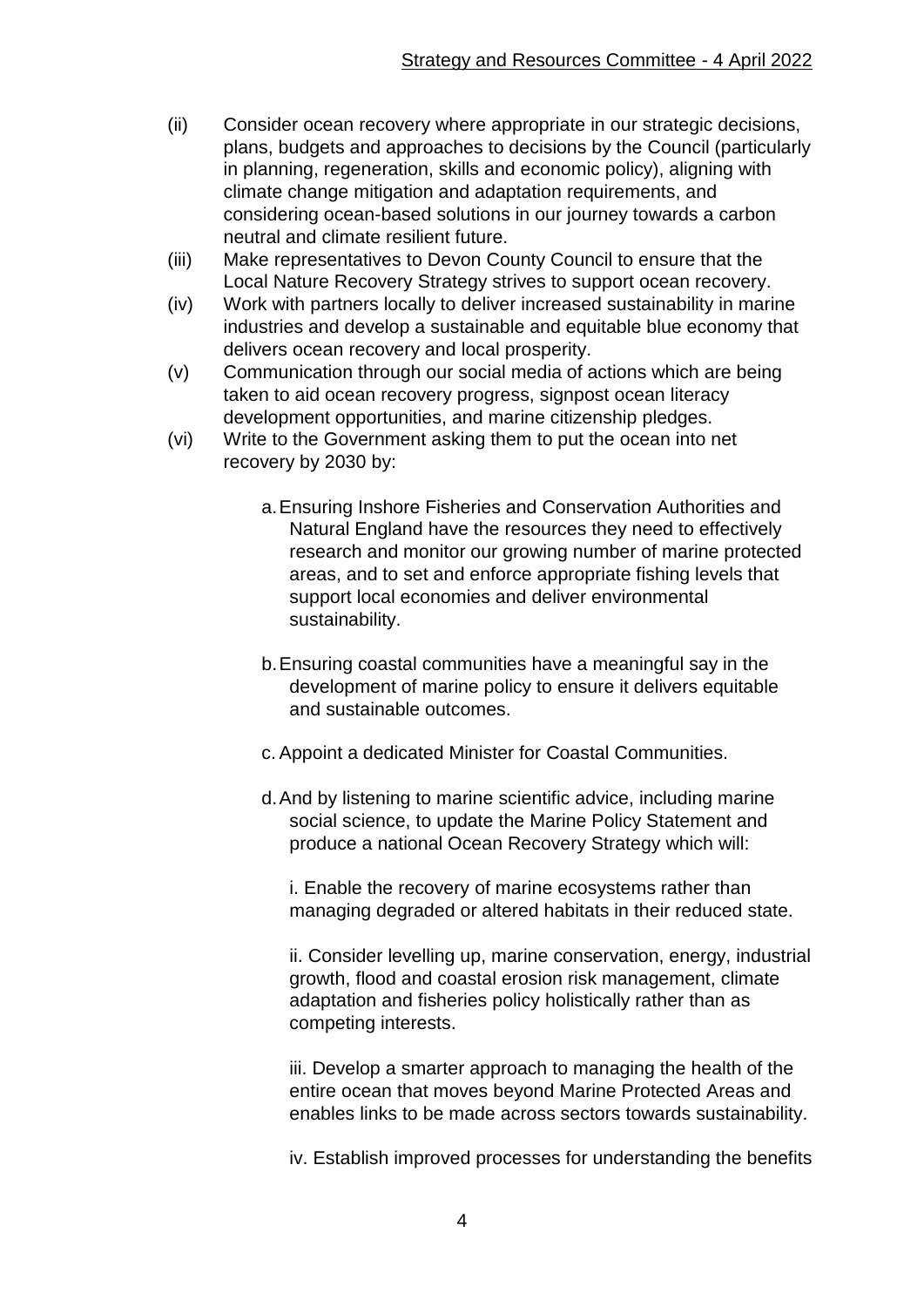- (ii) Consider ocean recovery where appropriate in our strategic decisions, plans, budgets and approaches to decisions by the Council (particularly in planning, regeneration, skills and economic policy), aligning with climate change mitigation and adaptation requirements, and considering ocean-based solutions in our journey towards a carbon neutral and climate resilient future.
- (iii) Make representatives to Devon County Council to ensure that the Local Nature Recovery Strategy strives to support ocean recovery.
- (iv) Work with partners locally to deliver increased sustainability in marine industries and develop a sustainable and equitable blue economy that delivers ocean recovery and local prosperity.
- (v) Communication through our social media of actions which are being taken to aid ocean recovery progress, signpost ocean literacy development opportunities, and marine citizenship pledges.
- (vi) Write to the Government asking them to put the ocean into net recovery by 2030 by:
	- a.Ensuring Inshore Fisheries and Conservation Authorities and Natural England have the resources they need to effectively research and monitor our growing number of marine protected areas, and to set and enforce appropriate fishing levels that support local economies and deliver environmental sustainability.
	- b.Ensuring coastal communities have a meaningful say in the development of marine policy to ensure it delivers equitable and sustainable outcomes.
	- c. Appoint a dedicated Minister for Coastal Communities.
	- d.And by listening to marine scientific advice, including marine social science, to update the Marine Policy Statement and produce a national Ocean Recovery Strategy which will:

i. Enable the recovery of marine ecosystems rather than managing degraded or altered habitats in their reduced state.

ii. Consider levelling up, marine conservation, energy, industrial growth, flood and coastal erosion risk management, climate adaptation and fisheries policy holistically rather than as competing interests.

iii. Develop a smarter approach to managing the health of the entire ocean that moves beyond Marine Protected Areas and enables links to be made across sectors towards sustainability.

iv. Establish improved processes for understanding the benefits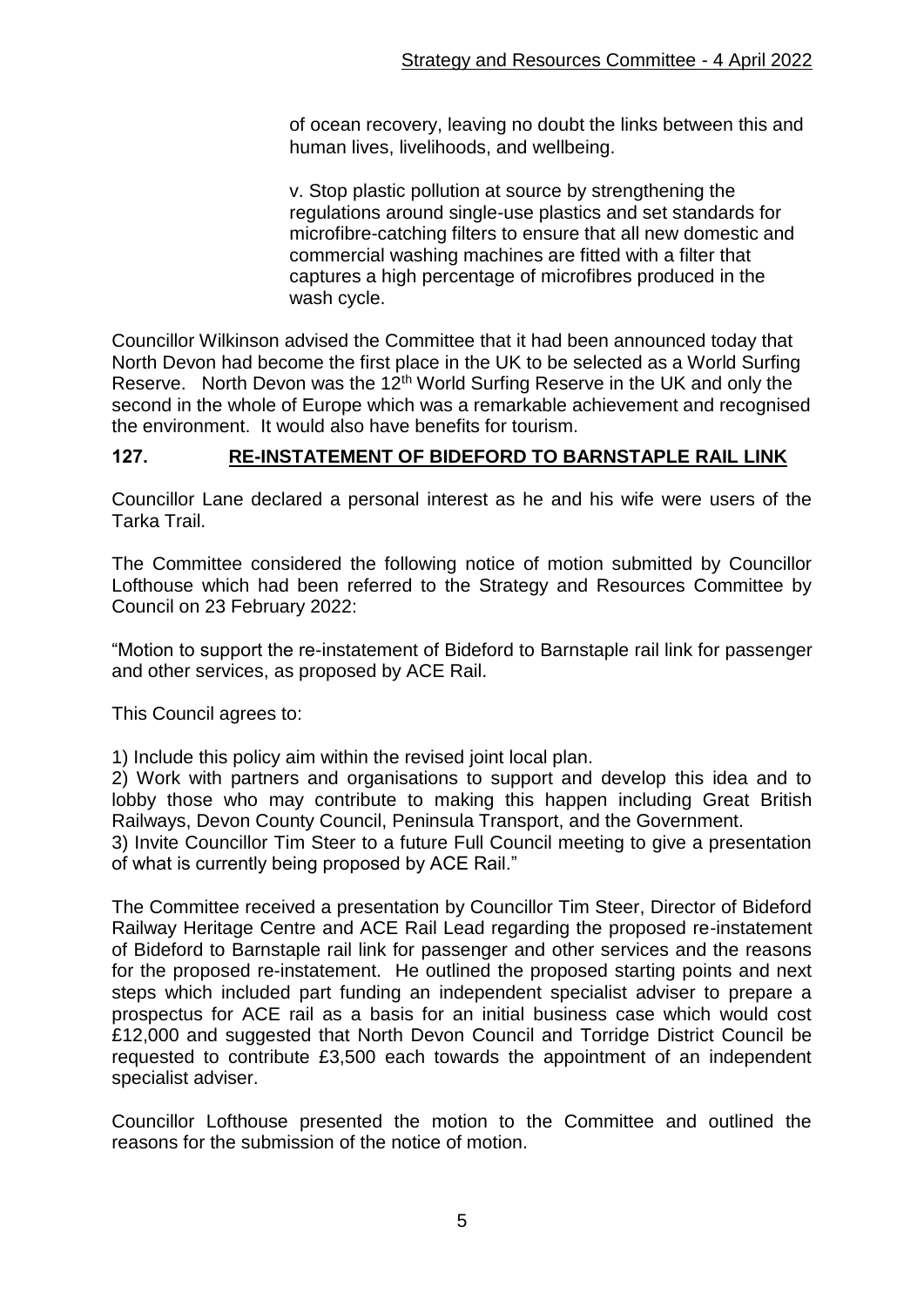of ocean recovery, leaving no doubt the links between this and human lives, livelihoods, and wellbeing.

v. Stop plastic pollution at source by strengthening the regulations around single-use plastics and set standards for microfibre-catching filters to ensure that all new domestic and commercial washing machines are fitted with a filter that captures a high percentage of microfibres produced in the wash cycle.

Councillor Wilkinson advised the Committee that it had been announced today that North Devon had become the first place in the UK to be selected as a World Surfing Reserve. North Devon was the 12<sup>th</sup> World Surfing Reserve in the UK and only the second in the whole of Europe which was a remarkable achievement and recognised the environment. It would also have benefits for tourism.

## **127. RE-INSTATEMENT OF BIDEFORD TO BARNSTAPLE RAIL LINK**

Councillor Lane declared a personal interest as he and his wife were users of the Tarka Trail.

The Committee considered the following notice of motion submitted by Councillor Lofthouse which had been referred to the Strategy and Resources Committee by Council on 23 February 2022:

"Motion to support the re-instatement of Bideford to Barnstaple rail link for passenger and other services, as proposed by ACE Rail.

This Council agrees to:

1) Include this policy aim within the revised joint local plan.

2) Work with partners and organisations to support and develop this idea and to lobby those who may contribute to making this happen including Great British Railways, Devon County Council, Peninsula Transport, and the Government.

3) Invite Councillor Tim Steer to a future Full Council meeting to give a presentation of what is currently being proposed by ACE Rail."

The Committee received a presentation by Councillor Tim Steer, Director of Bideford Railway Heritage Centre and ACE Rail Lead regarding the proposed re-instatement of Bideford to Barnstaple rail link for passenger and other services and the reasons for the proposed re-instatement. He outlined the proposed starting points and next steps which included part funding an independent specialist adviser to prepare a prospectus for ACE rail as a basis for an initial business case which would cost £12,000 and suggested that North Devon Council and Torridge District Council be requested to contribute £3,500 each towards the appointment of an independent specialist adviser.

Councillor Lofthouse presented the motion to the Committee and outlined the reasons for the submission of the notice of motion.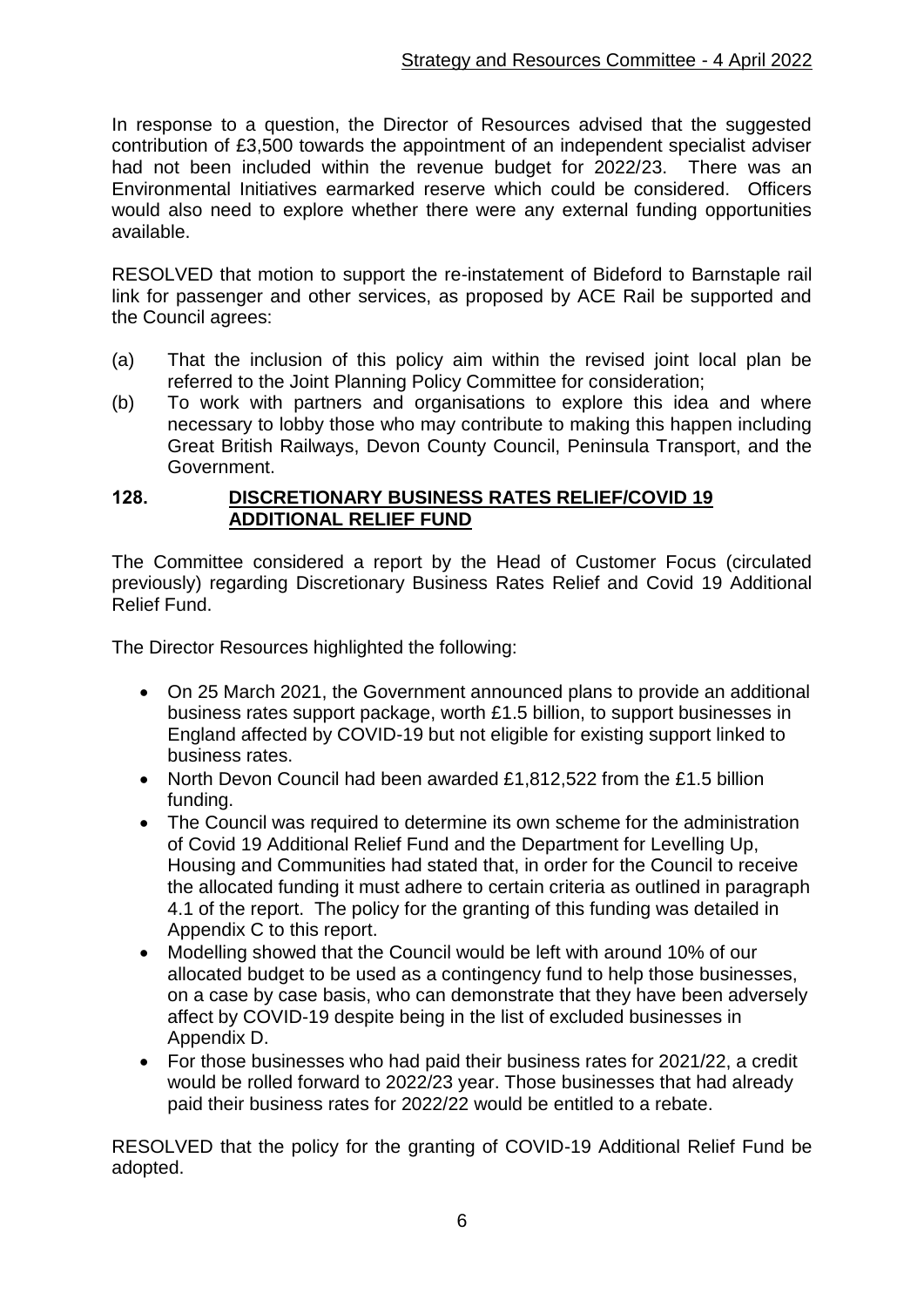In response to a question, the Director of Resources advised that the suggested contribution of £3,500 towards the appointment of an independent specialist adviser had not been included within the revenue budget for 2022/23. There was an Environmental Initiatives earmarked reserve which could be considered. Officers would also need to explore whether there were any external funding opportunities available.

RESOLVED that motion to support the re-instatement of Bideford to Barnstaple rail link for passenger and other services, as proposed by ACE Rail be supported and the Council agrees:

- (a) That the inclusion of this policy aim within the revised joint local plan be referred to the Joint Planning Policy Committee for consideration;
- (b) To work with partners and organisations to explore this idea and where necessary to lobby those who may contribute to making this happen including Great British Railways, Devon County Council, Peninsula Transport, and the Government.

#### **128. DISCRETIONARY BUSINESS RATES RELIEF/COVID 19 ADDITIONAL RELIEF FUND**

The Committee considered a report by the Head of Customer Focus (circulated previously) regarding Discretionary Business Rates Relief and Covid 19 Additional Relief Fund.

The Director Resources highlighted the following:

- On 25 March 2021, the Government announced plans to provide an additional business rates support package, worth £1.5 billion, to support businesses in England affected by COVID-19 but not eligible for existing support linked to business rates.
- North Devon Council had been awarded £1,812,522 from the £1.5 billion funding.
- The Council was required to determine its own scheme for the administration of Covid 19 Additional Relief Fund and the Department for Levelling Up, Housing and Communities had stated that, in order for the Council to receive the allocated funding it must adhere to certain criteria as outlined in paragraph 4.1 of the report. The policy for the granting of this funding was detailed in Appendix C to this report.
- Modelling showed that the Council would be left with around 10% of our allocated budget to be used as a contingency fund to help those businesses, on a case by case basis, who can demonstrate that they have been adversely affect by COVID-19 despite being in the list of excluded businesses in Appendix D.
- For those businesses who had paid their business rates for 2021/22, a credit would be rolled forward to 2022/23 year. Those businesses that had already paid their business rates for 2022/22 would be entitled to a rebate.

RESOLVED that the policy for the granting of COVID-19 Additional Relief Fund be adopted.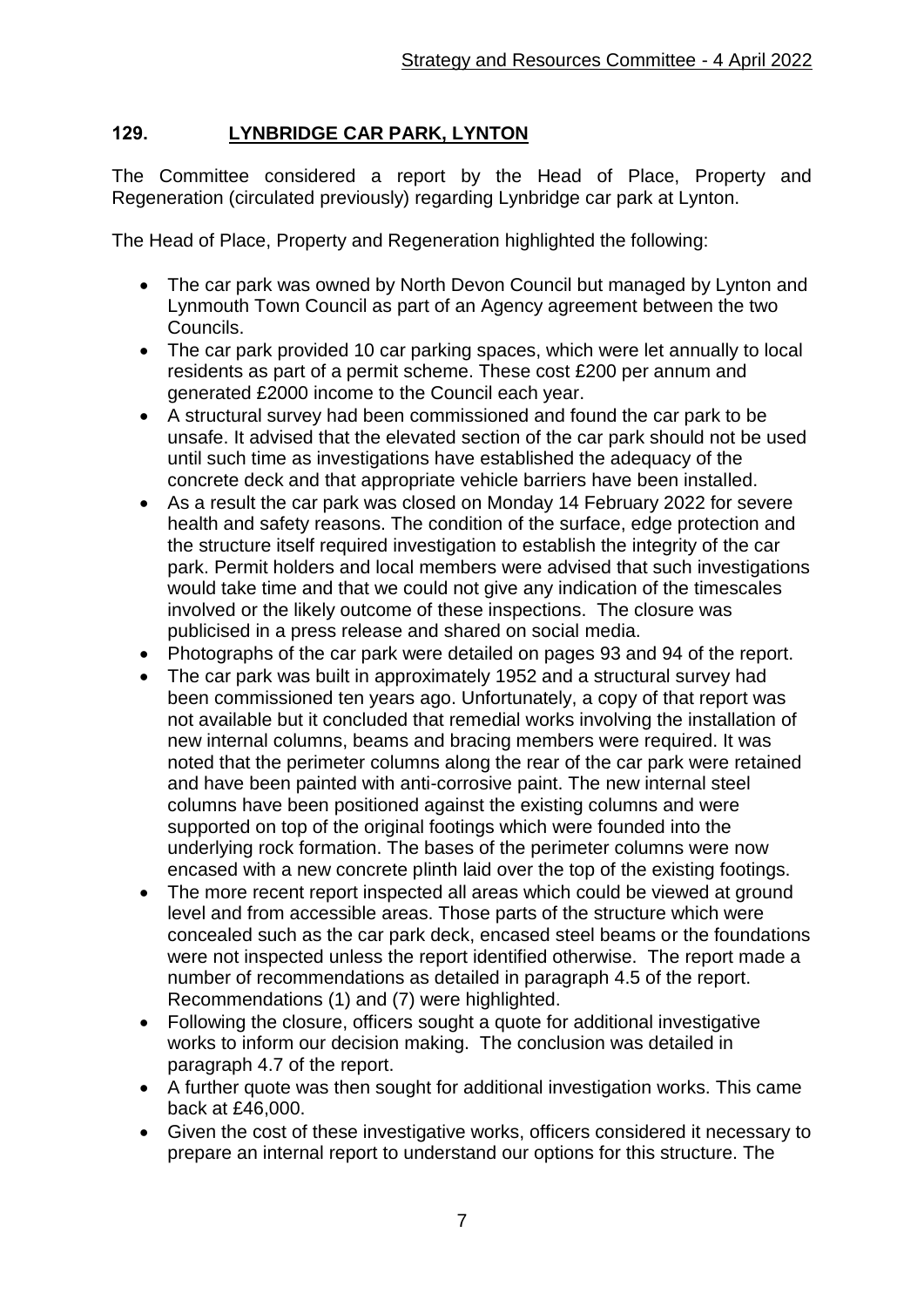## **129. LYNBRIDGE CAR PARK, LYNTON**

The Committee considered a report by the Head of Place, Property and Regeneration (circulated previously) regarding Lynbridge car park at Lynton.

The Head of Place, Property and Regeneration highlighted the following:

- The car park was owned by North Devon Council but managed by Lynton and Lynmouth Town Council as part of an Agency agreement between the two Councils.
- The car park provided 10 car parking spaces, which were let annually to local residents as part of a permit scheme. These cost £200 per annum and generated £2000 income to the Council each year.
- A structural survey had been commissioned and found the car park to be unsafe. It advised that the elevated section of the car park should not be used until such time as investigations have established the adequacy of the concrete deck and that appropriate vehicle barriers have been installed.
- As a result the car park was closed on Monday 14 February 2022 for severe health and safety reasons. The condition of the surface, edge protection and the structure itself required investigation to establish the integrity of the car park. Permit holders and local members were advised that such investigations would take time and that we could not give any indication of the timescales involved or the likely outcome of these inspections. The closure was publicised in a press release and shared on social media.
- Photographs of the car park were detailed on pages 93 and 94 of the report.
- The car park was built in approximately 1952 and a structural survey had been commissioned ten years ago. Unfortunately, a copy of that report was not available but it concluded that remedial works involving the installation of new internal columns, beams and bracing members were required. It was noted that the perimeter columns along the rear of the car park were retained and have been painted with anti-corrosive paint. The new internal steel columns have been positioned against the existing columns and were supported on top of the original footings which were founded into the underlying rock formation. The bases of the perimeter columns were now encased with a new concrete plinth laid over the top of the existing footings.
- The more recent report inspected all areas which could be viewed at ground level and from accessible areas. Those parts of the structure which were concealed such as the car park deck, encased steel beams or the foundations were not inspected unless the report identified otherwise. The report made a number of recommendations as detailed in paragraph 4.5 of the report. Recommendations (1) and (7) were highlighted.
- Following the closure, officers sought a quote for additional investigative works to inform our decision making. The conclusion was detailed in paragraph 4.7 of the report.
- A further quote was then sought for additional investigation works. This came back at £46,000.
- Given the cost of these investigative works, officers considered it necessary to prepare an internal report to understand our options for this structure. The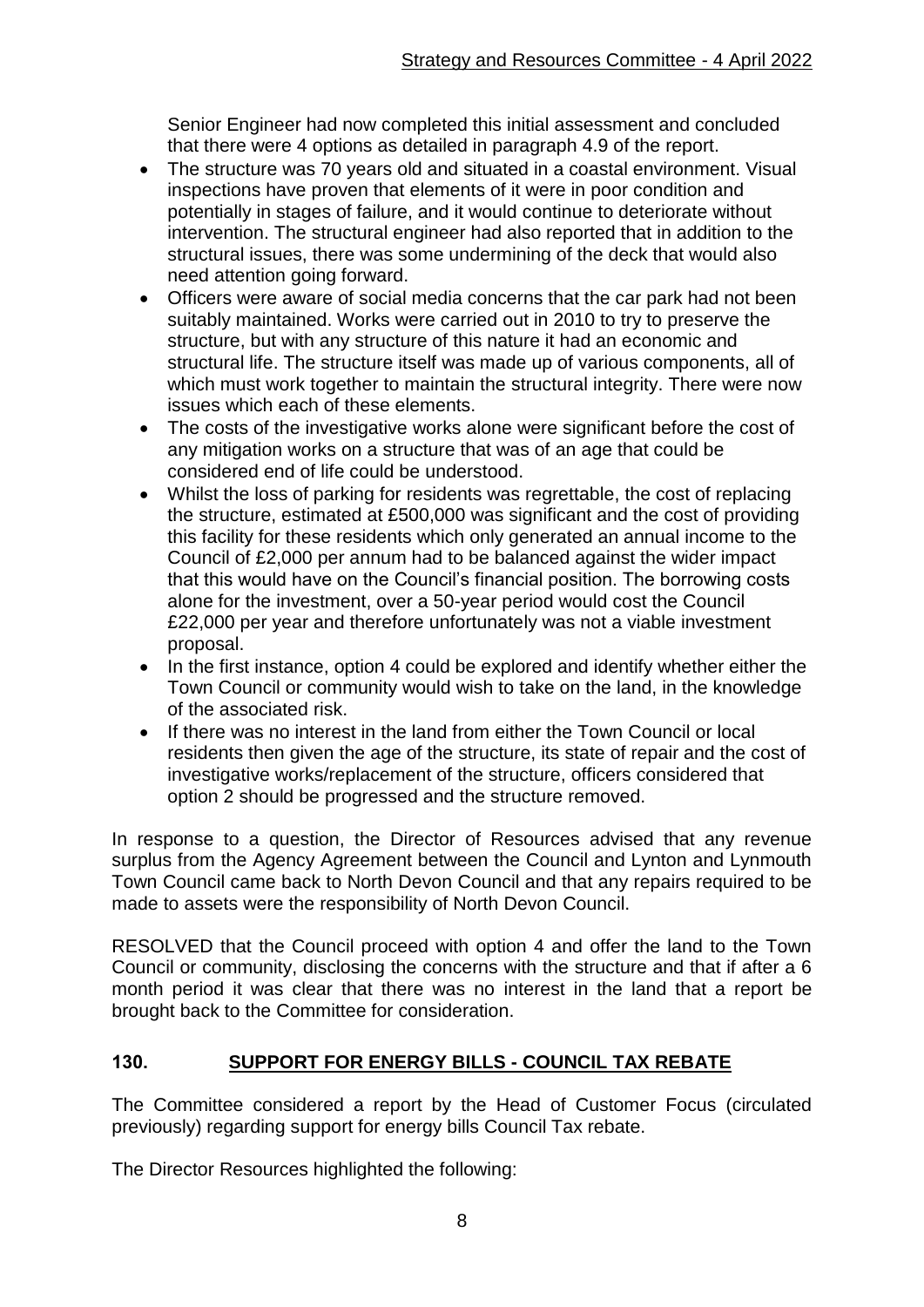Senior Engineer had now completed this initial assessment and concluded that there were 4 options as detailed in paragraph 4.9 of the report.

- The structure was 70 years old and situated in a coastal environment. Visual inspections have proven that elements of it were in poor condition and potentially in stages of failure, and it would continue to deteriorate without intervention. The structural engineer had also reported that in addition to the structural issues, there was some undermining of the deck that would also need attention going forward.
- Officers were aware of social media concerns that the car park had not been suitably maintained. Works were carried out in 2010 to try to preserve the structure, but with any structure of this nature it had an economic and structural life. The structure itself was made up of various components, all of which must work together to maintain the structural integrity. There were now issues which each of these elements.
- The costs of the investigative works alone were significant before the cost of any mitigation works on a structure that was of an age that could be considered end of life could be understood.
- Whilst the loss of parking for residents was regrettable, the cost of replacing the structure, estimated at £500,000 was significant and the cost of providing this facility for these residents which only generated an annual income to the Council of £2,000 per annum had to be balanced against the wider impact that this would have on the Council's financial position. The borrowing costs alone for the investment, over a 50-year period would cost the Council £22,000 per year and therefore unfortunately was not a viable investment proposal.
- In the first instance, option 4 could be explored and identify whether either the Town Council or community would wish to take on the land, in the knowledge of the associated risk.
- If there was no interest in the land from either the Town Council or local residents then given the age of the structure, its state of repair and the cost of investigative works/replacement of the structure, officers considered that option 2 should be progressed and the structure removed.

In response to a question, the Director of Resources advised that any revenue surplus from the Agency Agreement between the Council and Lynton and Lynmouth Town Council came back to North Devon Council and that any repairs required to be made to assets were the responsibility of North Devon Council.

RESOLVED that the Council proceed with option 4 and offer the land to the Town Council or community, disclosing the concerns with the structure and that if after a 6 month period it was clear that there was no interest in the land that a report be brought back to the Committee for consideration.

# **130. SUPPORT FOR ENERGY BILLS - COUNCIL TAX REBATE**

The Committee considered a report by the Head of Customer Focus (circulated previously) regarding support for energy bills Council Tax rebate.

The Director Resources highlighted the following: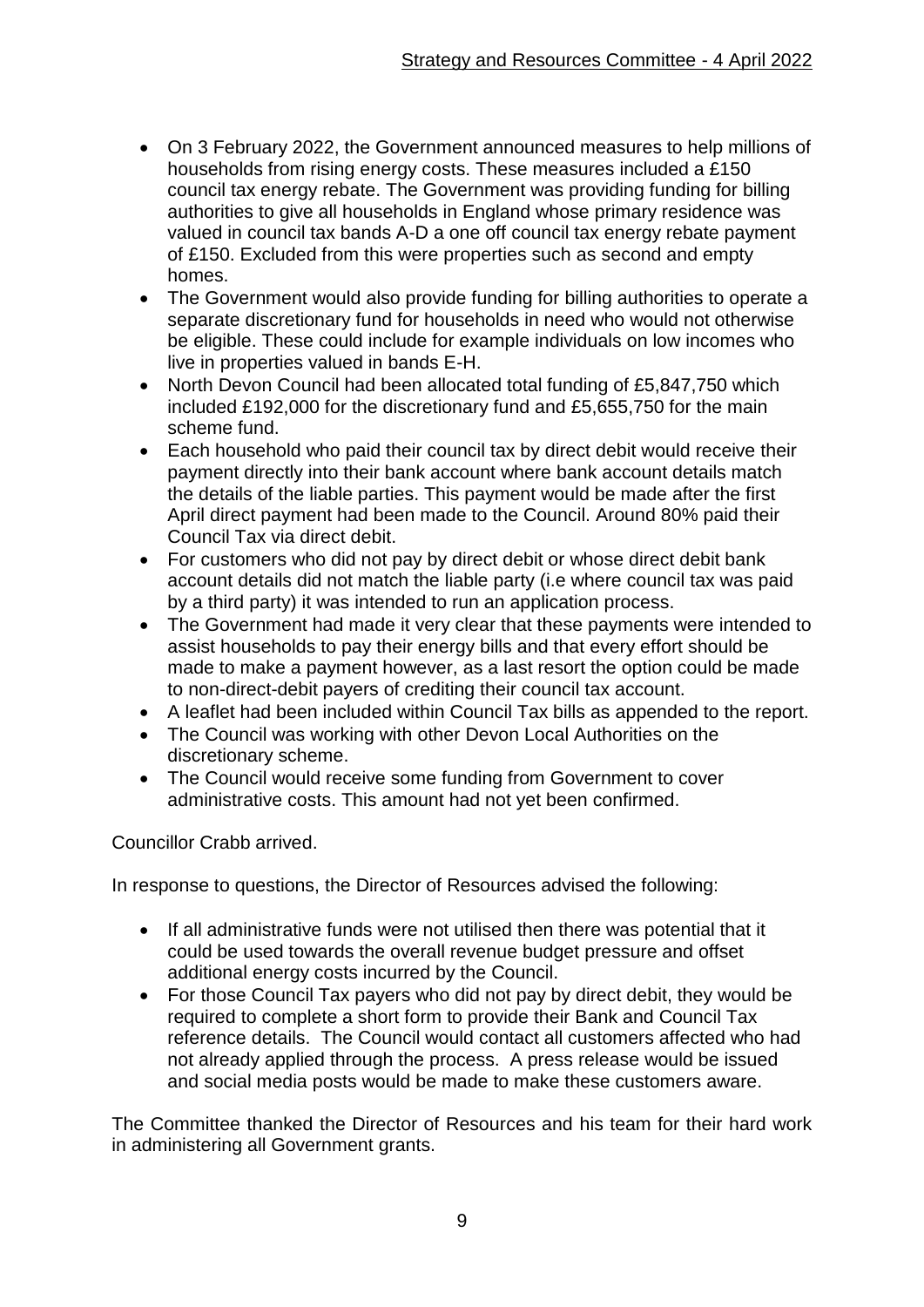- On 3 February 2022, the Government announced measures to help millions of households from rising energy costs. These measures included a £150 council tax energy rebate. The Government was providing funding for billing authorities to give all households in England whose primary residence was valued in council tax bands A-D a one off council tax energy rebate payment of £150. Excluded from this were properties such as second and empty homes.
- The Government would also provide funding for billing authorities to operate a separate discretionary fund for households in need who would not otherwise be eligible. These could include for example individuals on low incomes who live in properties valued in bands E-H.
- North Devon Council had been allocated total funding of £5,847,750 which included £192,000 for the discretionary fund and £5,655,750 for the main scheme fund.
- Each household who paid their council tax by direct debit would receive their payment directly into their bank account where bank account details match the details of the liable parties. This payment would be made after the first April direct payment had been made to the Council. Around 80% paid their Council Tax via direct debit.
- For customers who did not pay by direct debit or whose direct debit bank account details did not match the liable party (i.e where council tax was paid by a third party) it was intended to run an application process.
- The Government had made it very clear that these payments were intended to assist households to pay their energy bills and that every effort should be made to make a payment however, as a last resort the option could be made to non-direct-debit payers of crediting their council tax account.
- A leaflet had been included within Council Tax bills as appended to the report.
- The Council was working with other Devon Local Authorities on the discretionary scheme.
- The Council would receive some funding from Government to cover administrative costs. This amount had not yet been confirmed.

Councillor Crabb arrived.

In response to questions, the Director of Resources advised the following:

- If all administrative funds were not utilised then there was potential that it could be used towards the overall revenue budget pressure and offset additional energy costs incurred by the Council.
- For those Council Tax payers who did not pay by direct debit, they would be required to complete a short form to provide their Bank and Council Tax reference details. The Council would contact all customers affected who had not already applied through the process. A press release would be issued and social media posts would be made to make these customers aware.

The Committee thanked the Director of Resources and his team for their hard work in administering all Government grants.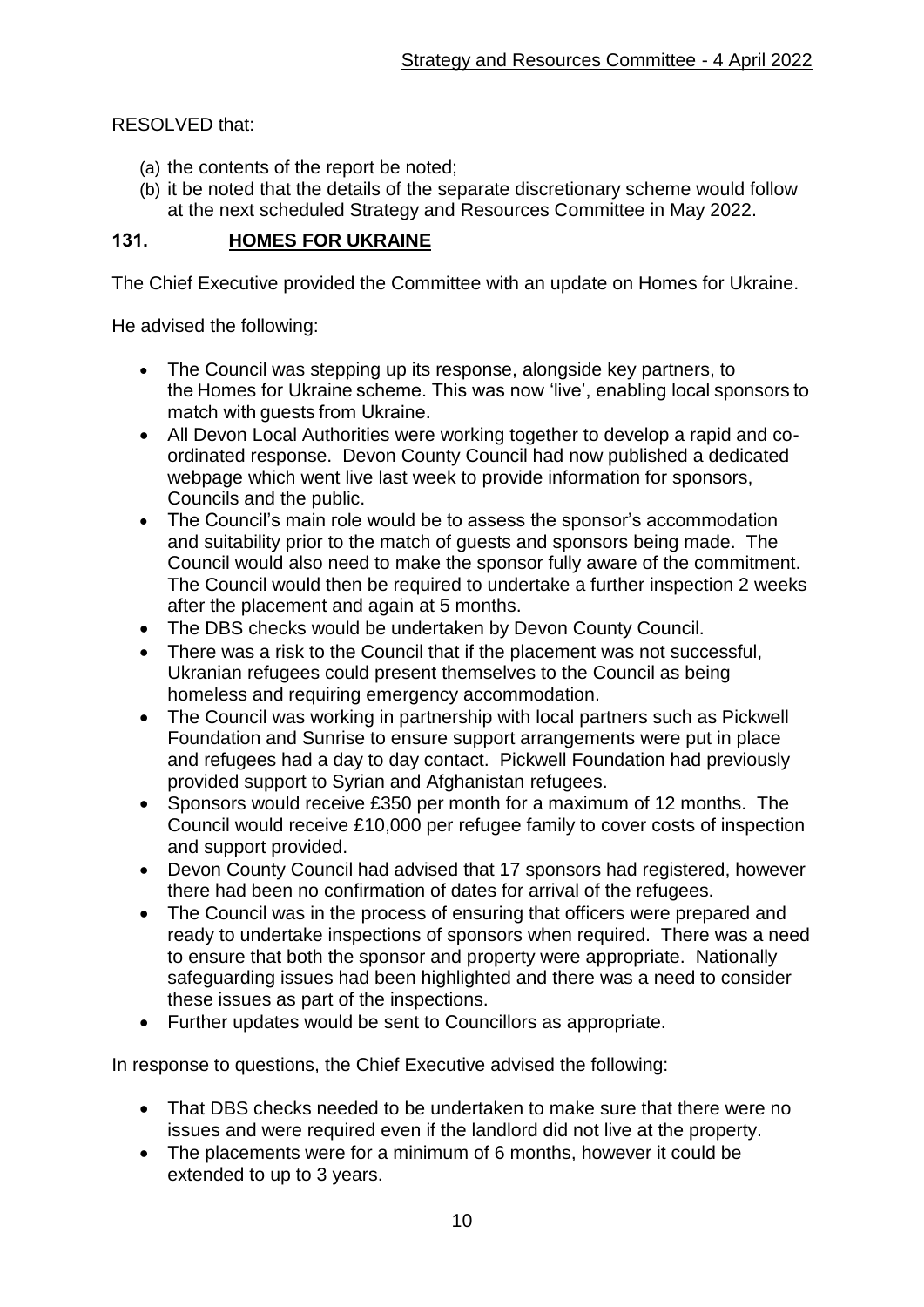RESOLVED that:

- (a) the contents of the report be noted;
- (b) it be noted that the details of the separate discretionary scheme would follow at the next scheduled Strategy and Resources Committee in May 2022.

## **131. HOMES FOR UKRAINE**

The Chief Executive provided the Committee with an update on Homes for Ukraine.

He advised the following:

- The Council was stepping up its response, alongside key partners, to the Homes for Ukraine scheme. This was now 'live', enabling local sponsors to match with guests from Ukraine.
- All Devon Local Authorities were working together to develop a rapid and coordinated response. Devon County Council had now published a dedicated webpage which went live last week to provide information for sponsors, Councils and the public.
- The Council's main role would be to assess the sponsor's accommodation and suitability prior to the match of guests and sponsors being made. The Council would also need to make the sponsor fully aware of the commitment. The Council would then be required to undertake a further inspection 2 weeks after the placement and again at 5 months.
- The DBS checks would be undertaken by Devon County Council.
- There was a risk to the Council that if the placement was not successful, Ukranian refugees could present themselves to the Council as being homeless and requiring emergency accommodation.
- The Council was working in partnership with local partners such as Pickwell Foundation and Sunrise to ensure support arrangements were put in place and refugees had a day to day contact. Pickwell Foundation had previously provided support to Syrian and Afghanistan refugees.
- Sponsors would receive £350 per month for a maximum of 12 months. The Council would receive £10,000 per refugee family to cover costs of inspection and support provided.
- Devon County Council had advised that 17 sponsors had registered, however there had been no confirmation of dates for arrival of the refugees.
- The Council was in the process of ensuring that officers were prepared and ready to undertake inspections of sponsors when required. There was a need to ensure that both the sponsor and property were appropriate. Nationally safeguarding issues had been highlighted and there was a need to consider these issues as part of the inspections.
- Further updates would be sent to Councillors as appropriate.

In response to questions, the Chief Executive advised the following:

- That DBS checks needed to be undertaken to make sure that there were no issues and were required even if the landlord did not live at the property.
- The placements were for a minimum of 6 months, however it could be extended to up to 3 years.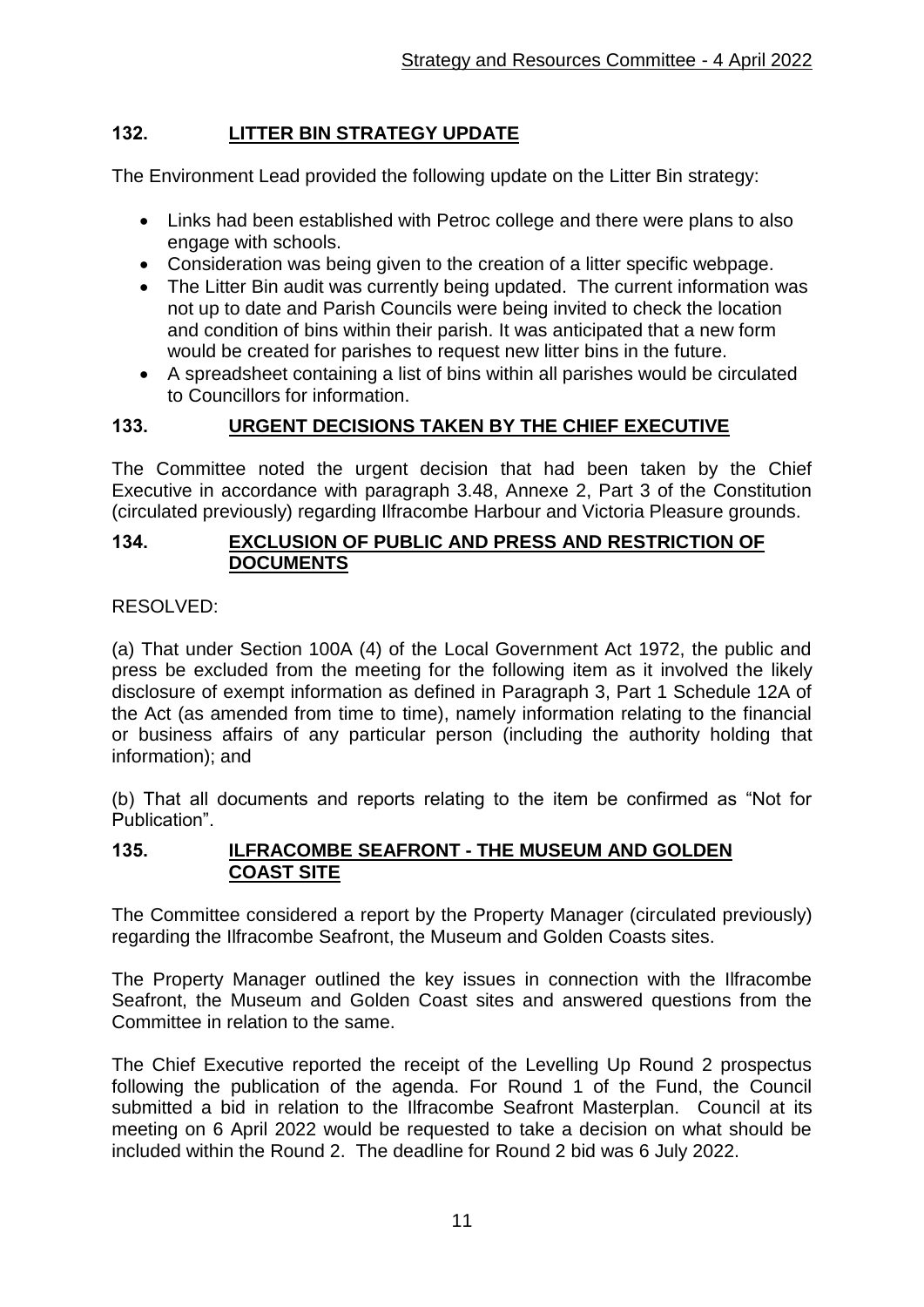## **132. LITTER BIN STRATEGY UPDATE**

The Environment Lead provided the following update on the Litter Bin strategy:

- Links had been established with Petroc college and there were plans to also engage with schools.
- Consideration was being given to the creation of a litter specific webpage.
- The Litter Bin audit was currently being updated. The current information was not up to date and Parish Councils were being invited to check the location and condition of bins within their parish. It was anticipated that a new form would be created for parishes to request new litter bins in the future.
- A spreadsheet containing a list of bins within all parishes would be circulated to Councillors for information.

### **133. URGENT DECISIONS TAKEN BY THE CHIEF EXECUTIVE**

The Committee noted the urgent decision that had been taken by the Chief Executive in accordance with paragraph 3.48, Annexe 2, Part 3 of the Constitution (circulated previously) regarding Ilfracombe Harbour and Victoria Pleasure grounds.

### **134. EXCLUSION OF PUBLIC AND PRESS AND RESTRICTION OF DOCUMENTS**

### RESOLVED:

(a) That under Section 100A (4) of the Local Government Act 1972, the public and press be excluded from the meeting for the following item as it involved the likely disclosure of exempt information as defined in Paragraph 3, Part 1 Schedule 12A of the Act (as amended from time to time), namely information relating to the financial or business affairs of any particular person (including the authority holding that information); and

(b) That all documents and reports relating to the item be confirmed as "Not for Publication".

#### **135. ILFRACOMBE SEAFRONT - THE MUSEUM AND GOLDEN COAST SITE**

The Committee considered a report by the Property Manager (circulated previously) regarding the Ilfracombe Seafront, the Museum and Golden Coasts sites.

The Property Manager outlined the key issues in connection with the Ilfracombe Seafront, the Museum and Golden Coast sites and answered questions from the Committee in relation to the same.

The Chief Executive reported the receipt of the Levelling Up Round 2 prospectus following the publication of the agenda. For Round 1 of the Fund, the Council submitted a bid in relation to the Ilfracombe Seafront Masterplan. Council at its meeting on 6 April 2022 would be requested to take a decision on what should be included within the Round 2. The deadline for Round 2 bid was 6 July 2022.